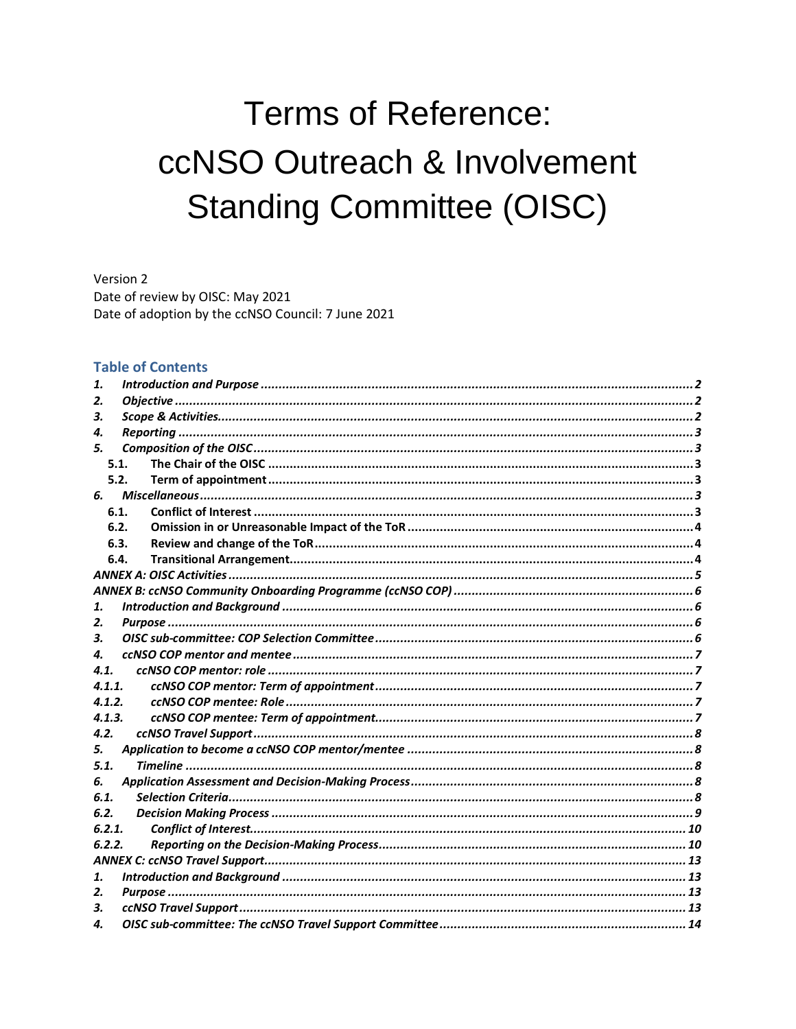# **Terms of Reference:** ccNSO Outreach & Involvement **Standing Committee (OISC)**

Version 2 Date of review by OISC: May 2021 Date of adoption by the ccNSO Council: 7 June 2021

#### **Table of Contents**

| 1.     |  |  |
|--------|--|--|
| 2.     |  |  |
| З.     |  |  |
| 4.     |  |  |
| 5.     |  |  |
| 5.1.   |  |  |
| 5.2.   |  |  |
|        |  |  |
| 6.1.   |  |  |
| 6.2.   |  |  |
| 6.3.   |  |  |
| 6.4.   |  |  |
|        |  |  |
|        |  |  |
| 1.     |  |  |
| 2.     |  |  |
| 3.     |  |  |
| 4.     |  |  |
| 4.1.   |  |  |
| 4.1.1. |  |  |
| 4.1.2. |  |  |
| 4.1.3. |  |  |
| 4.2.   |  |  |
| 5.     |  |  |
| 5.1.   |  |  |
| 6.     |  |  |
| 6.1.   |  |  |
| 6.2.   |  |  |
| 6.2.1. |  |  |
| 6.2.2. |  |  |
|        |  |  |
| 1.     |  |  |
| 2.     |  |  |
| 3.     |  |  |
| 4.     |  |  |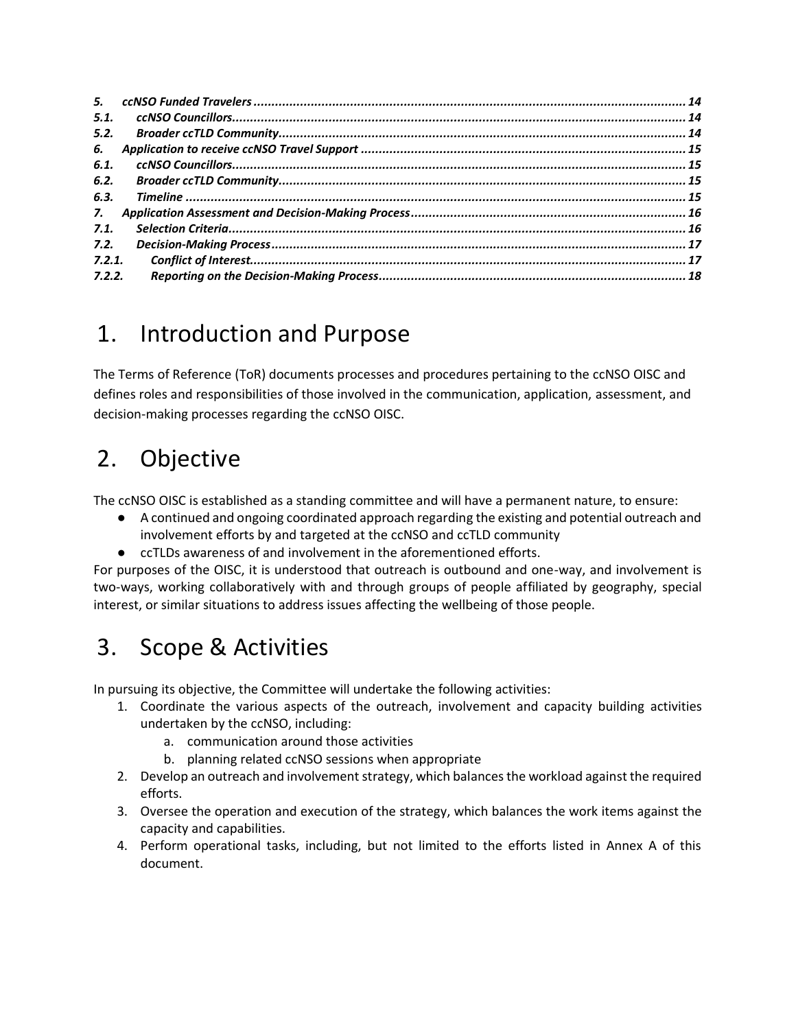| 5.1.   |  |
|--------|--|
| 5.2.   |  |
| 6.     |  |
| 6.1.   |  |
| 6.2.   |  |
| 6.3.   |  |
| 7.     |  |
| 7.1.   |  |
| 7.2.   |  |
| 7.2.1. |  |
| 7.2.2. |  |

## <span id="page-1-0"></span>1. Introduction and Purpose

The Terms of Reference (ToR) documents processes and procedures pertaining to the ccNSO OISC and defines roles and responsibilities of those involved in the communication, application, assessment, and decision-making processes regarding the ccNSO OISC.

## <span id="page-1-1"></span>2. Objective

The ccNSO OISC is established as a standing committee and will have a permanent nature, to ensure:

- A continued and ongoing coordinated approach regarding the existing and potential outreach and involvement efforts by and targeted at the ccNSO and ccTLD community
- ccTLDs awareness of and involvement in the aforementioned efforts.

For purposes of the OISC, it is understood that outreach is outbound and one-way, and involvement is two-ways, working collaboratively with and through groups of people affiliated by geography, special interest, or similar situations to address issues affecting the wellbeing of those people.

## <span id="page-1-2"></span>3. Scope & Activities

In pursuing its objective, the Committee will undertake the following activities:

- 1. Coordinate the various aspects of the outreach, involvement and capacity building activities undertaken by the ccNSO, including:
	- a. communication around those activities
	- b. planning related ccNSO sessions when appropriate
- 2. Develop an outreach and involvement strategy, which balances the workload against the required efforts.
- 3. Oversee the operation and execution of the strategy, which balances the work items against the capacity and capabilities.
- 4. Perform operational tasks, including, but not limited to the efforts listed in Annex A of this document.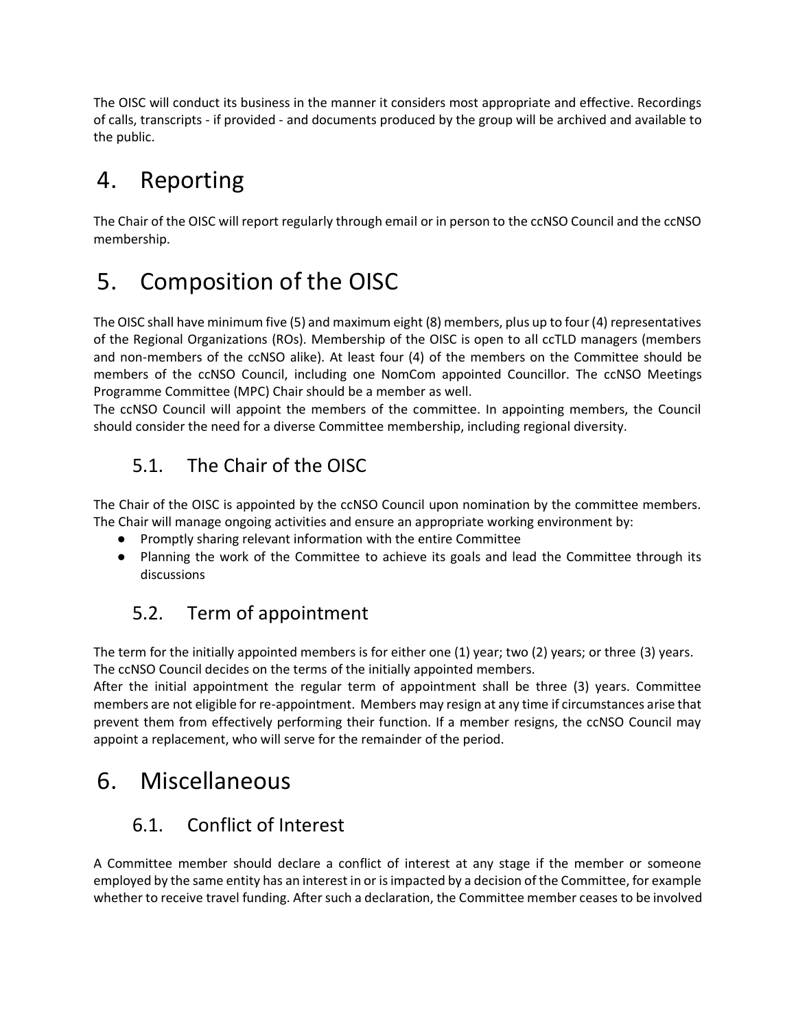The OISC will conduct its business in the manner it considers most appropriate and effective. Recordings of calls, transcripts - if provided - and documents produced by the group will be archived and available to the public.

## <span id="page-2-0"></span>4. Reporting

The Chair of the OISC will report regularly through email or in person to the ccNSO Council and the ccNSO membership.

## <span id="page-2-1"></span>5. Composition of the OISC

The OISC shall have minimum five (5) and maximum eight (8) members, plus up to four (4) representatives of the Regional Organizations (ROs). Membership of the OISC is open to all ccTLD managers (members and non-members of the ccNSO alike). At least four (4) of the members on the Committee should be members of the ccNSO Council, including one NomCom appointed Councillor. The ccNSO Meetings Programme Committee (MPC) Chair should be a member as well.

The ccNSO Council will appoint the members of the committee. In appointing members, the Council should consider the need for a diverse Committee membership, including regional diversity.

## <span id="page-2-2"></span>5.1. The Chair of the OISC

The Chair of the OISC is appointed by the ccNSO Council upon nomination by the committee members. The Chair will manage ongoing activities and ensure an appropriate working environment by:

- Promptly sharing relevant information with the entire Committee
- Planning the work of the Committee to achieve its goals and lead the Committee through its discussions

## <span id="page-2-3"></span>5.2. Term of appointment

The term for the initially appointed members is for either one (1) year; two (2) years; or three (3) years. The ccNSO Council decides on the terms of the initially appointed members.

After the initial appointment the regular term of appointment shall be three (3) years. Committee members are not eligible for re-appointment. Members may resign at any time if circumstances arise that prevent them from effectively performing their function. If a member resigns, the ccNSO Council may appoint a replacement, who will serve for the remainder of the period.

## <span id="page-2-4"></span>6. Miscellaneous

## 6.1. Conflict of Interest

<span id="page-2-5"></span>A Committee member should declare a conflict of interest at any stage if the member or someone employed by the same entity has an interest in or is impacted by a decision of the Committee, for example whether to receive travel funding. After such a declaration, the Committee member ceases to be involved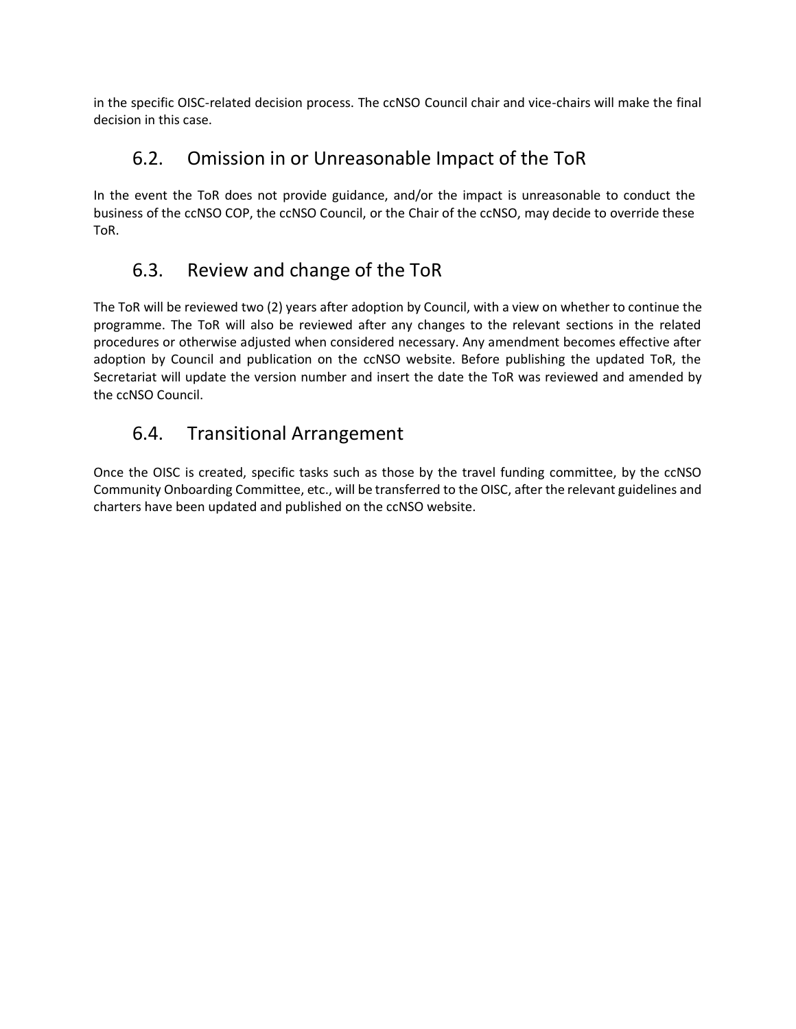in the specific OISC-related decision process. The ccNSO Council chair and vice-chairs will make the final decision in this case.

### 6.2. Omission in or Unreasonable Impact of the ToR

<span id="page-3-0"></span>In the event the ToR does not provide guidance, and/or the impact is unreasonable to conduct the business of the ccNSO COP, the ccNSO Council, or the Chair of the ccNSO, may decide to override these ToR.

## 6.3. Review and change of the ToR

<span id="page-3-1"></span>The ToR will be reviewed two (2) years after adoption by Council, with a view on whether to continue the programme. The ToR will also be reviewed after any changes to the relevant sections in the related procedures or otherwise adjusted when considered necessary. Any amendment becomes effective after adoption by Council and publication on the ccNSO website. Before publishing the updated ToR, the Secretariat will update the version number and insert the date the ToR was reviewed and amended by the ccNSO Council.

### <span id="page-3-2"></span>6.4. Transitional Arrangement

Once the OISC is created, specific tasks such as those by the travel funding committee, by the ccNSO Community Onboarding Committee, etc., will be transferred to the OISC, after the relevant guidelines and charters have been updated and published on the ccNSO website.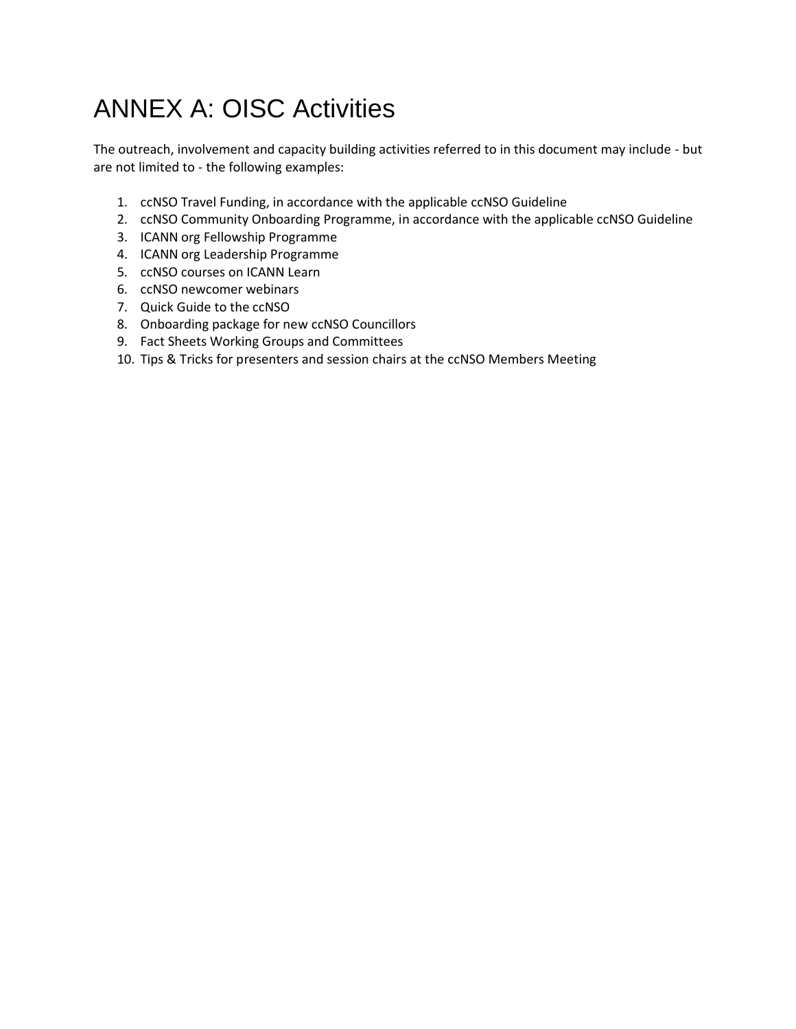## <span id="page-4-0"></span>ANNEX A: OISC Activities

The outreach, involvement and capacity building activities referred to in this document may include - but are not limited to - the following examples:

- 1. ccNSO Travel Funding, in accordance with the applicable ccNSO Guideline
- 2. ccNSO Community Onboarding Programme, in accordance with the applicable ccNSO Guideline
- 3. ICANN org Fellowship Programme
- 4. ICANN org Leadership Programme
- 5. ccNSO courses on ICANN Learn
- 6. ccNSO newcomer webinars
- 7. Quick Guide to the ccNSO
- 8. Onboarding package for new ccNSO Councillors
- 9. Fact Sheets Working Groups and Committees
- 10. Tips & Tricks for presenters and session chairs at the ccNSO Members Meeting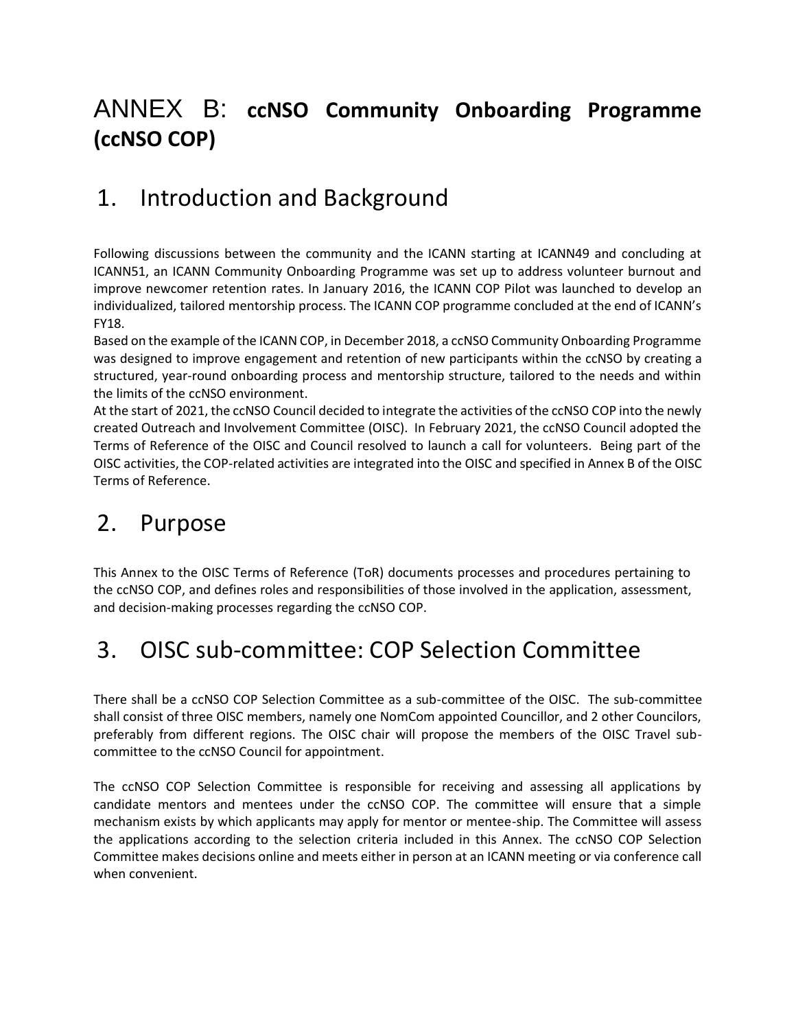## <span id="page-5-0"></span>ANNEX B: **ccNSO Community Onboarding Programme (ccNSO COP)**

## <span id="page-5-1"></span>1. Introduction and Background

Following discussions between the community and the ICANN starting at ICANN49 and concluding at ICANN51, an ICANN Community Onboarding Programme was set up to address volunteer burnout and improve newcomer retention rates. In January 2016, the ICANN COP Pilot was launched to develop an individualized, tailored mentorship process. The ICANN COP programme concluded at the end of ICANN's FY18.

Based on the example of the ICANN COP, in December 2018, a ccNSO Community Onboarding Programme was designed to improve engagement and retention of new participants within the ccNSO by creating a structured, year-round onboarding process and mentorship structure, tailored to the needs and within the limits of the ccNSO environment.

At the start of 2021, the ccNSO Council decided to integrate the activities of the ccNSO COP into the newly created Outreach and Involvement Committee (OISC). In February 2021, the ccNSO Council adopted the Terms of Reference of the OISC and Council resolved to launch a call for volunteers. Being part of the OISC activities, the COP-related activities are integrated into the OISC and specified in Annex B of the OISC Terms of Reference.

## <span id="page-5-2"></span>2. Purpose

This Annex to the OISC Terms of Reference (ToR) documents processes and procedures pertaining to the ccNSO COP, and defines roles and responsibilities of those involved in the application, assessment, and decision-making processes regarding the ccNSO COP.

## <span id="page-5-3"></span>3. OISC sub-committee: COP Selection Committee

There shall be a ccNSO COP Selection Committee as a sub-committee of the OISC. The sub-committee shall consist of three OISC members, namely one NomCom appointed Councillor, and 2 other Councilors, preferably from different regions. The OISC chair will propose the members of the OISC Travel subcommittee to the ccNSO Council for appointment.

The ccNSO COP Selection Committee is responsible for receiving and assessing all applications by candidate mentors and mentees under the ccNSO COP. The committee will ensure that a simple mechanism exists by which applicants may apply for mentor or mentee-ship. The Committee will assess the applications according to the selection criteria included in this Annex. The ccNSO COP Selection Committee makes decisions online and meets either in person at an ICANN meeting or via conference call when convenient.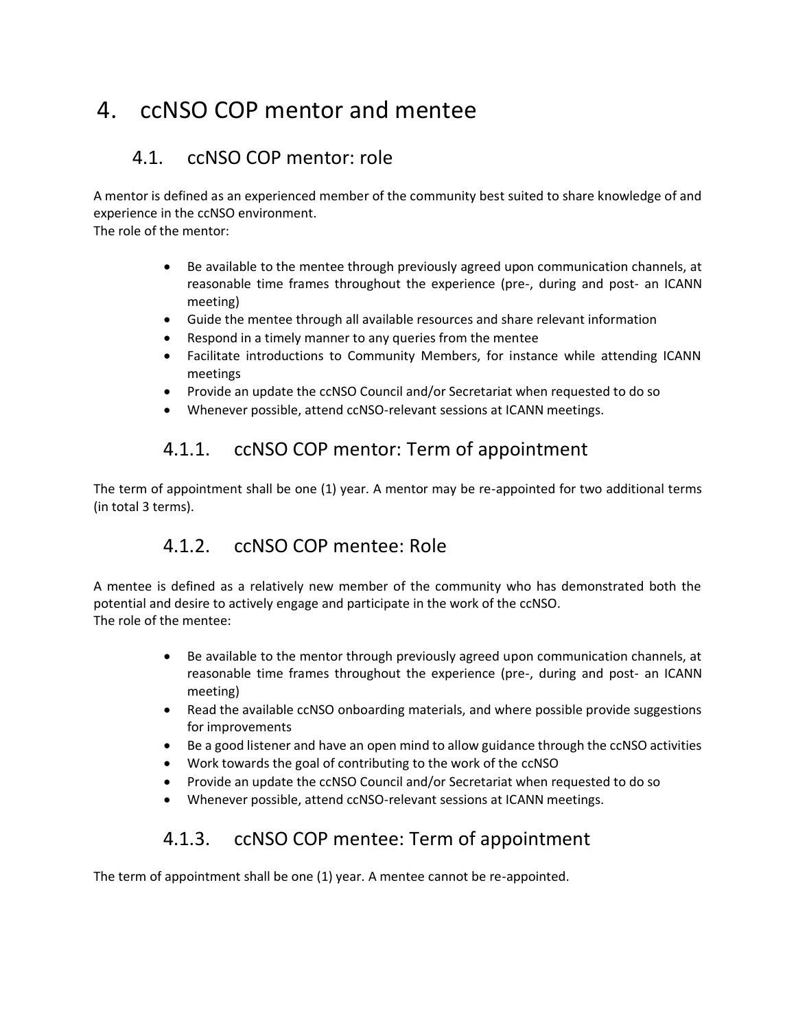## <span id="page-6-0"></span>4. ccNSO COP mentor and mentee

### <span id="page-6-1"></span>4.1. ccNSO COP mentor: role

A mentor is defined as an experienced member of the community best suited to share knowledge of and experience in the ccNSO environment.

The role of the mentor:

- Be available to the mentee through previously agreed upon communication channels, at reasonable time frames throughout the experience (pre-, during and post- an ICANN meeting)
- Guide the mentee through all available resources and share relevant information
- Respond in a timely manner to any queries from the mentee
- Facilitate introductions to Community Members, for instance while attending ICANN meetings
- Provide an update the ccNSO Council and/or Secretariat when requested to do so
- Whenever possible, attend ccNSO-relevant sessions at ICANN meetings.

### 4.1.1. ccNSO COP mentor: Term of appointment

<span id="page-6-2"></span>The term of appointment shall be one (1) year. A mentor may be re-appointed for two additional terms (in total 3 terms).

### 4.1.2. ccNSO COP mentee: Role

<span id="page-6-3"></span>A mentee is defined as a relatively new member of the community who has demonstrated both the potential and desire to actively engage and participate in the work of the ccNSO. The role of the mentee:

- Be available to the mentor through previously agreed upon communication channels, at reasonable time frames throughout the experience (pre-, during and post- an ICANN meeting)
- Read the available ccNSO onboarding materials, and where possible provide suggestions for improvements
- Be a good listener and have an open mind to allow guidance through the ccNSO activities
- Work towards the goal of contributing to the work of the ccNSO
- Provide an update the ccNSO Council and/or Secretariat when requested to do so
- Whenever possible, attend ccNSO-relevant sessions at ICANN meetings.

### 4.1.3. ccNSO COP mentee: Term of appointment

<span id="page-6-4"></span>The term of appointment shall be one (1) year. A mentee cannot be re-appointed.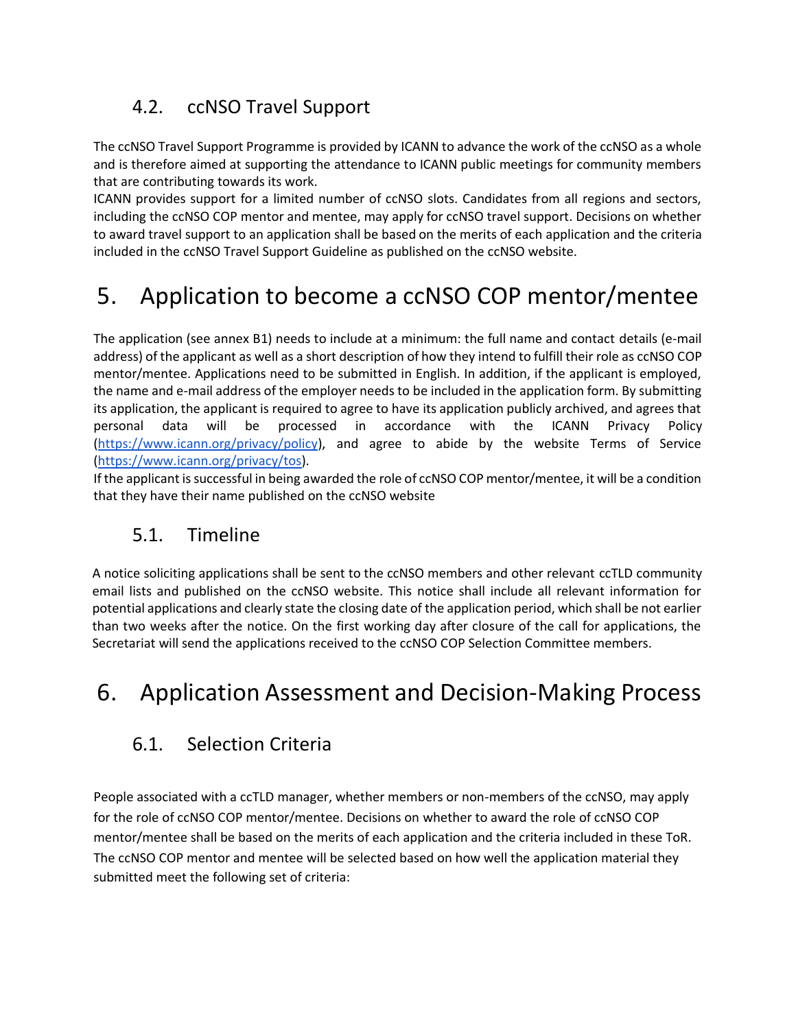## <span id="page-7-0"></span>4.2. ccNSO Travel Support

The ccNSO Travel Support Programme is provided by ICANN to advance the work of the ccNSO as a whole and is therefore aimed at supporting the attendance to ICANN public meetings for community members that are contributing towards its work.

ICANN provides support for a limited number of ccNSO slots. Candidates from all regions and sectors, including the ccNSO COP mentor and mentee, may apply for ccNSO travel support. Decisions on whether to award travel support to an application shall be based on the merits of each application and the criteria included in the ccNSO Travel Support Guideline as published on the ccNSO website.

## <span id="page-7-1"></span>5. Application to become a ccNSO COP mentor/mentee

The application (see annex B1) needs to include at a minimum: the full name and contact details (e-mail address) of the applicant as well as a short description of how they intend to fulfill their role as ccNSO COP mentor/mentee. Applications need to be submitted in English. In addition, if the applicant is employed, the name and e-mail address of the employer needs to be included in the application form. By submitting its application, the applicant is required to agree to have its application publicly archived, and agrees that personal data will be processed in accordance with the ICANN Privacy Policy [\(https://www.icann.org/privacy/policy\)](https://www.icann.org/privacy/policy), and agree to abide by the website Terms of Service [\(https://www.icann.org/privacy/tos\)](https://www.icann.org/privacy/tos).

If the applicant is successful in being awarded the role of ccNSO COP mentor/mentee, it will be a condition that they have their name published on the ccNSO website

### <span id="page-7-2"></span>5.1. Timeline

A notice soliciting applications shall be sent to the ccNSO members and other relevant ccTLD community email lists and published on the ccNSO website. This notice shall include all relevant information for potential applications and clearly state the closing date of the application period, which shall be not earlier than two weeks after the notice. On the first working day after closure of the call for applications, the Secretariat will send the applications received to the ccNSO COP Selection Committee members.

## <span id="page-7-3"></span>6. Application Assessment and Decision-Making Process

### <span id="page-7-4"></span>6.1. Selection Criteria

People associated with a ccTLD manager, whether members or non-members of the ccNSO, may apply for the role of ccNSO COP mentor/mentee. Decisions on whether to award the role of ccNSO COP mentor/mentee shall be based on the merits of each application and the criteria included in these ToR. The ccNSO COP mentor and mentee will be selected based on how well the application material they submitted meet the following set of criteria: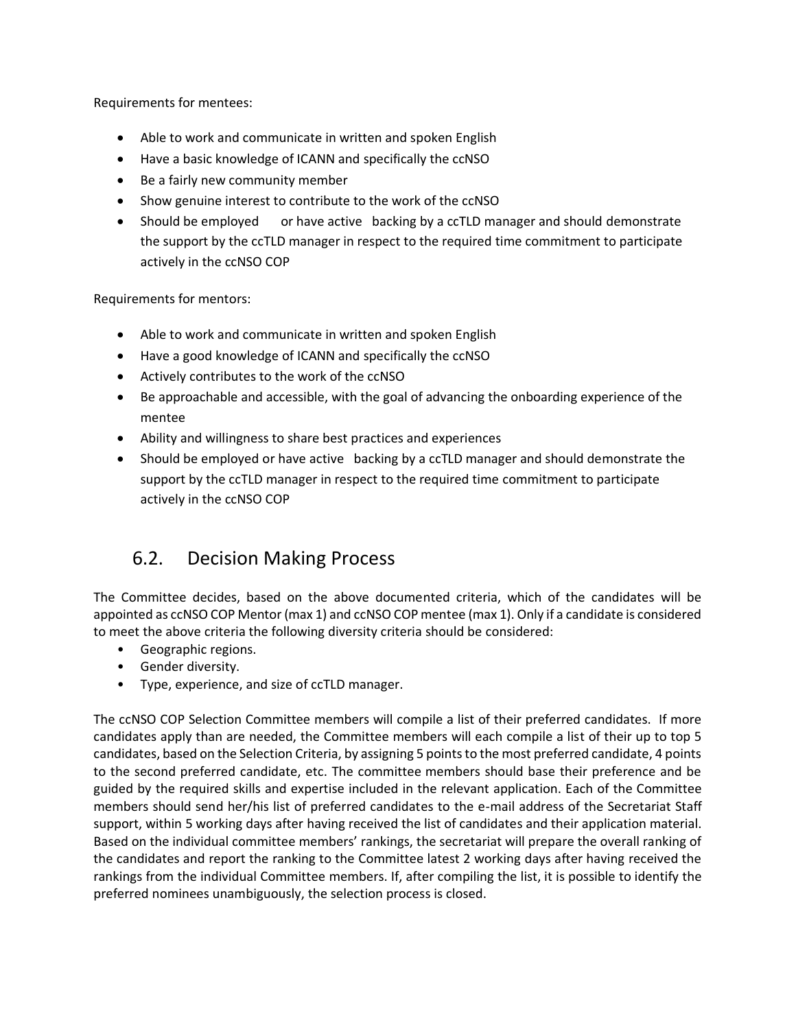Requirements for mentees:

- Able to work and communicate in written and spoken English
- Have a basic knowledge of ICANN and specifically the ccNSO
- Be a fairly new community member
- Show genuine interest to contribute to the work of the ccNSO
- Should be employed or have active backing by a ccTLD manager and should demonstrate the support by the ccTLD manager in respect to the required time commitment to participate actively in the ccNSO COP

Requirements for mentors:

- Able to work and communicate in written and spoken English
- Have a good knowledge of ICANN and specifically the ccNSO
- Actively contributes to the work of the ccNSO
- Be approachable and accessible, with the goal of advancing the onboarding experience of the mentee
- Ability and willingness to share best practices and experiences
- Should be employed or have active backing by a ccTLD manager and should demonstrate the support by the ccTLD manager in respect to the required time commitment to participate actively in the ccNSO COP

### <span id="page-8-0"></span>6.2. Decision Making Process

The Committee decides, based on the above documented criteria, which of the candidates will be appointed as ccNSO COP Mentor (max 1) and ccNSO COP mentee (max 1). Only if a candidate is considered to meet the above criteria the following diversity criteria should be considered:

- Geographic regions.
- Gender diversity.
- Type, experience, and size of ccTLD manager.

The ccNSO COP Selection Committee members will compile a list of their preferred candidates. If more candidates apply than are needed, the Committee members will each compile a list of their up to top 5 candidates, based on the Selection Criteria, by assigning 5 points to the most preferred candidate, 4 points to the second preferred candidate, etc. The committee members should base their preference and be guided by the required skills and expertise included in the relevant application. Each of the Committee members should send her/his list of preferred candidates to the e-mail address of the Secretariat Staff support, within 5 working days after having received the list of candidates and their application material. Based on the individual committee members' rankings, the secretariat will prepare the overall ranking of the candidates and report the ranking to the Committee latest 2 working days after having received the rankings from the individual Committee members. If, after compiling the list, it is possible to identify the preferred nominees unambiguously, the selection process is closed.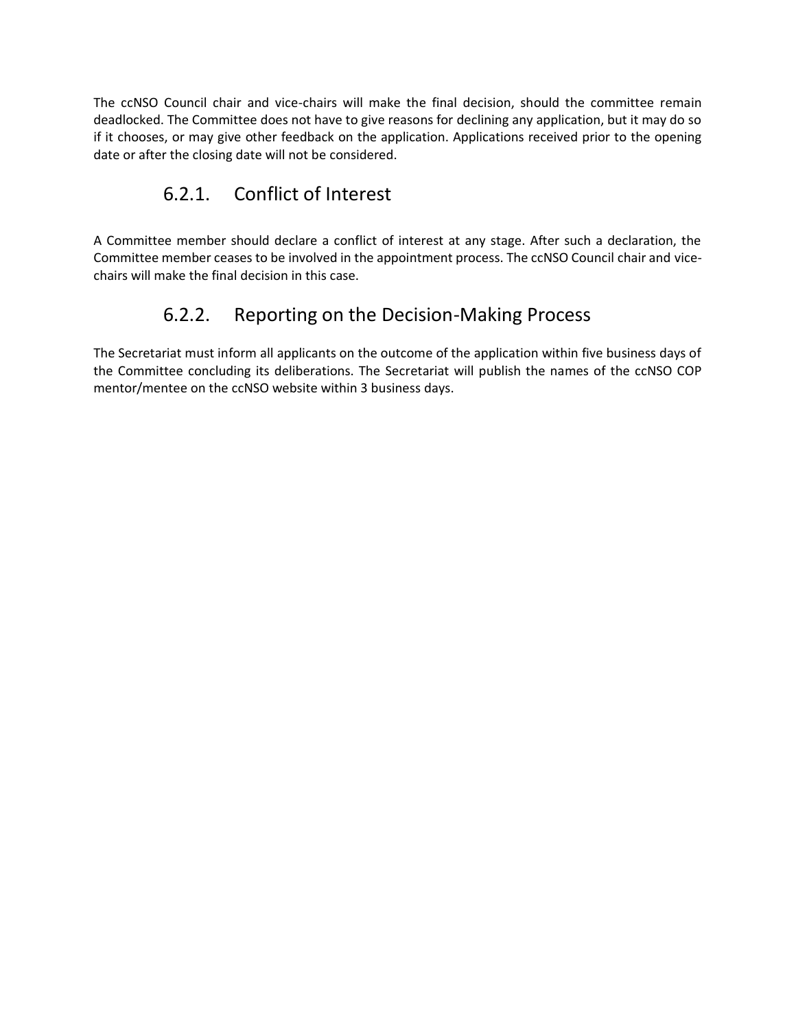The ccNSO Council chair and vice-chairs will make the final decision, should the committee remain deadlocked. The Committee does not have to give reasons for declining any application, but it may do so if it chooses, or may give other feedback on the application. Applications received prior to the opening date or after the closing date will not be considered.

### 6.2.1. Conflict of Interest

<span id="page-9-0"></span>A Committee member should declare a conflict of interest at any stage. After such a declaration, the Committee member ceases to be involved in the appointment process. The ccNSO Council chair and vicechairs will make the final decision in this case.

### 6.2.2. Reporting on the Decision-Making Process

<span id="page-9-1"></span>The Secretariat must inform all applicants on the outcome of the application within five business days of the Committee concluding its deliberations. The Secretariat will publish the names of the ccNSO COP mentor/mentee on the ccNSO website within 3 business days.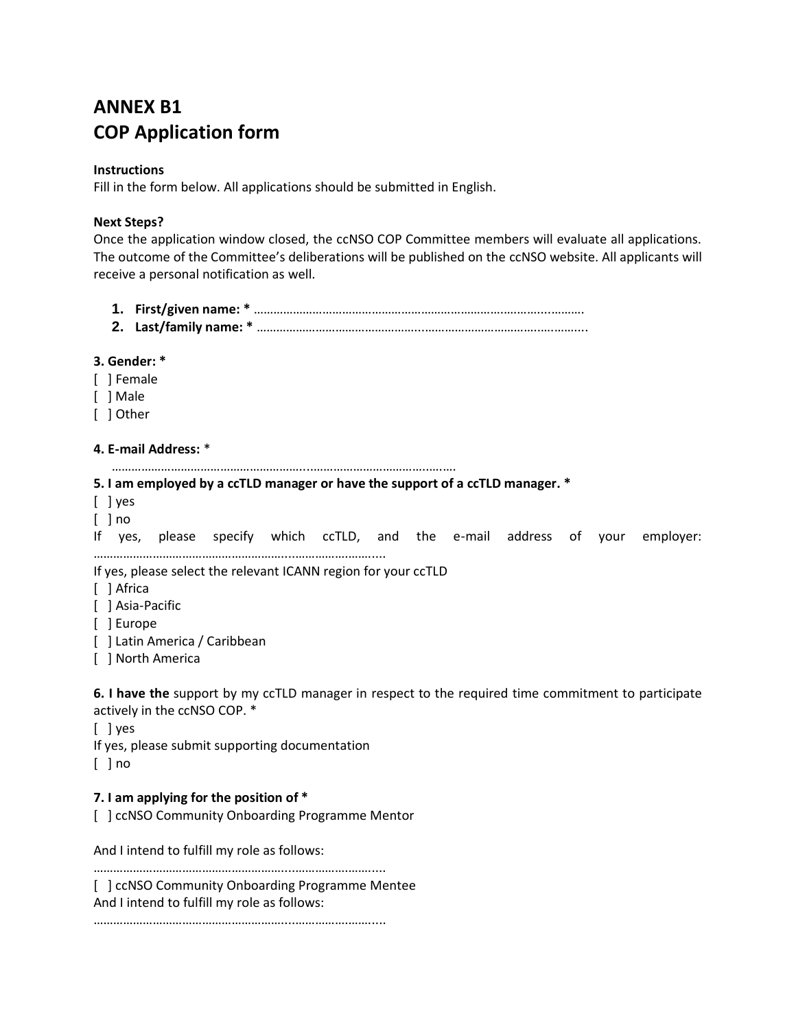## **ANNEX B1 COP Application form**

#### **Instructions**

Fill in the form below. All applications should be submitted in English.

#### **Next Steps?**

Once the application window closed, the ccNSO COP Committee members will evaluate all applications. The outcome of the Committee's deliberations will be published on the ccNSO website. All applicants will receive a personal notification as well.

**1. First/given name: \*** ………………………………………………………………….….……....………. **2. Last/family name: \*** …………………………………………...……………………………..….……....

#### **3. Gender: \***

- [ ] Female
- [ ] Male
- [ ] Other

#### **4. E-mail Address:** \*

…………………………………………………....……………………………..….….

#### **5. I am employed by a ccTLD manager or have the support of a ccTLD manager. \***

- [ ] yes
- $\lceil$   $\rceil$  no

If yes, please specify which ccTLD, and the e-mail address of your employer:

…………………………………………………....…………….……..... If yes, please select the relevant ICANN region for your ccTLD

- [ ] Africa
- [ ] Asia-Pacific
- [ ] Europe
- [ ] Latin America / Caribbean
- [ ] North America

**6. I have the** support by my ccTLD manager in respect to the required time commitment to participate actively in the ccNSO COP. \*

[ ] yes

If yes, please submit supporting documentation

[ ] no

### **7. I am applying for the position of \***

[ ] ccNSO Community Onboarding Programme Mentor

And I intend to fulfill my role as follows:

…………………………………………………....…………….…….....

[ ] ccNSO Community Onboarding Programme Mentee And I intend to fulfill my role as follows:

…………………………………………………....…………….…….....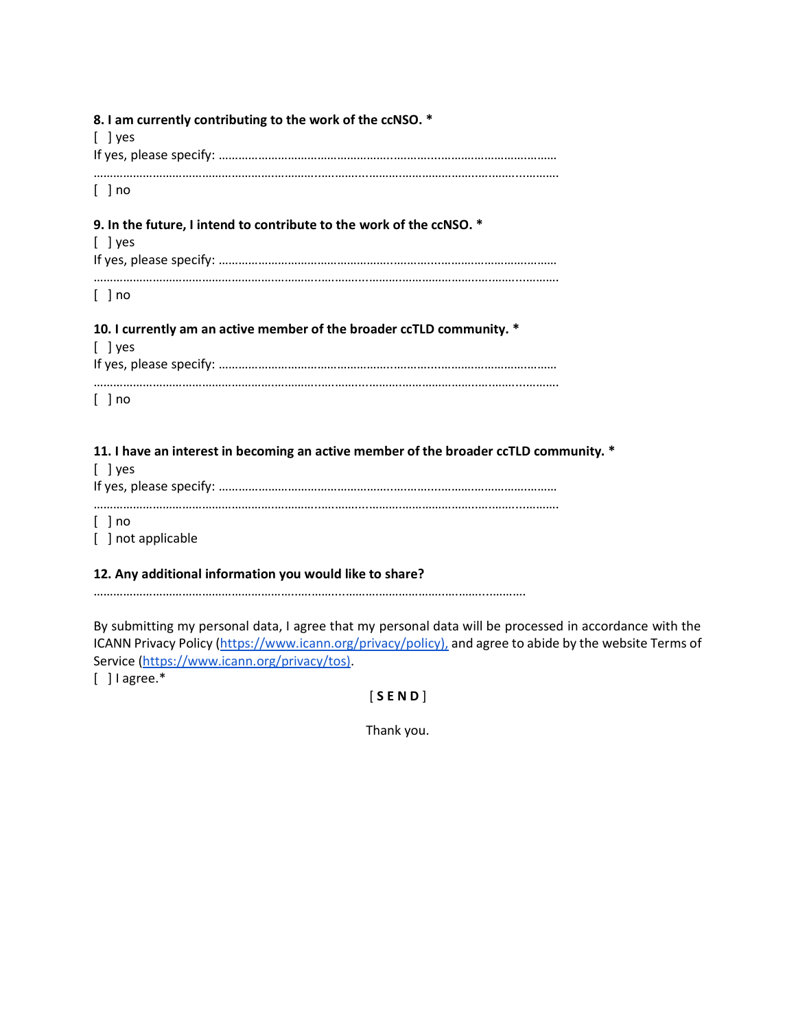| 8. I am currently contributing to the work of the ccNSO. *<br>$[$ ] yes                |
|----------------------------------------------------------------------------------------|
| $[$ $]$ no                                                                             |
| 9. In the future, I intend to contribute to the work of the ccNSO. *<br>$[$ ] yes      |
| $[$ ] no                                                                               |
| 10. I currently am an active member of the broader ccTLD community. *<br>$\lceil$ lyes |
| $[$ ] no                                                                               |
| 11. I have an interest in becoming an active member of the broader ccTLD community. *  |

|                      | TTL LINES AN INSTEAD IN MODERNING AN AGAING INCHING THE MIC MEDIANCE COLLER COMMIT |
|----------------------|------------------------------------------------------------------------------------|
| $\lceil$ lyes        |                                                                                    |
|                      |                                                                                    |
| $\lceil$ $\rceil$ no |                                                                                    |
| [ ] not applicable   |                                                                                    |

#### **12. Any additional information you would like to share?**

……………………………………………………..….……....……….………………..….……....……….

By submitting my personal data, I agree that my personal data will be processed in accordance with the ICANN Privacy Policy [\(https://www.icann.org/privacy/policy\),](https://www.icann.org/privacy/policy),) and agree to abide by the website Terms of Service [\(https://www.icann.org/privacy/tos\).](https://www.icann.org/privacy/tos))

[ ] I agree.\*

[ **S E N D** ]

Thank you.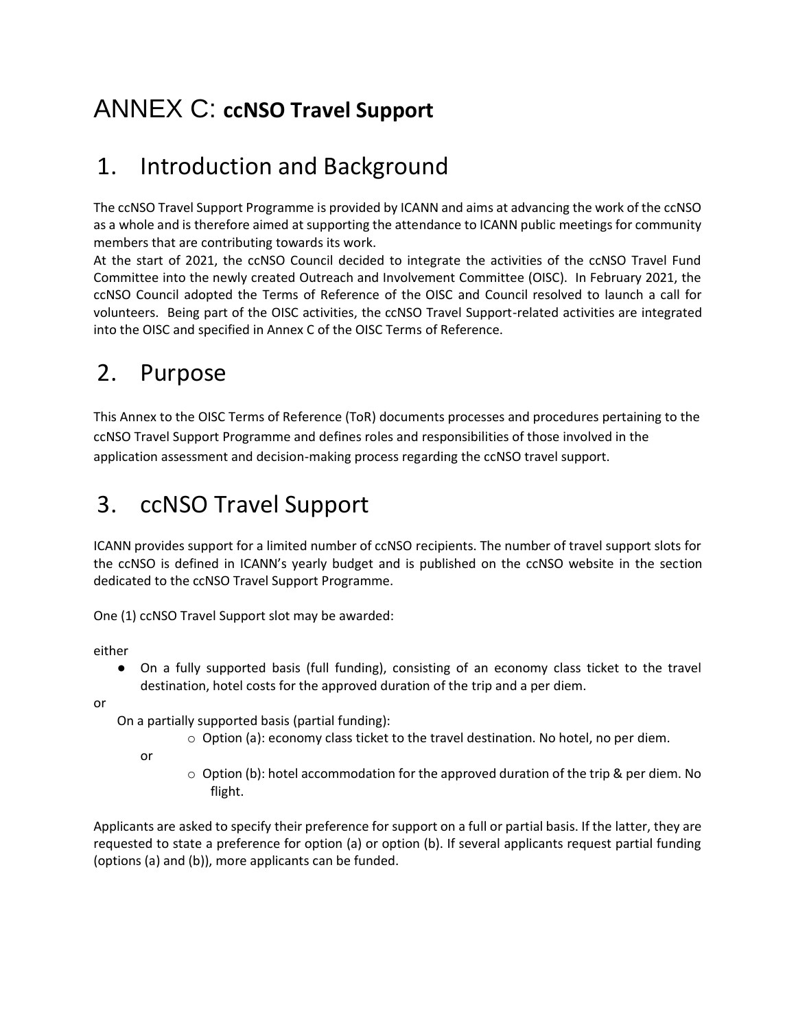## <span id="page-12-0"></span>ANNEX C: **ccNSO Travel Support**

## <span id="page-12-1"></span>1. Introduction and Background

The ccNSO Travel Support Programme is provided by ICANN and aims at advancing the work of the ccNSO as a whole and is therefore aimed at supporting the attendance to ICANN public meetings for community members that are contributing towards its work.

At the start of 2021, the ccNSO Council decided to integrate the activities of the ccNSO Travel Fund Committee into the newly created Outreach and Involvement Committee (OISC). In February 2021, the ccNSO Council adopted the Terms of Reference of the OISC and Council resolved to launch a call for volunteers. Being part of the OISC activities, the ccNSO Travel Support-related activities are integrated into the OISC and specified in Annex C of the OISC Terms of Reference.

## <span id="page-12-2"></span>2. Purpose

This Annex to the OISC Terms of Reference (ToR) documents processes and procedures pertaining to the ccNSO Travel Support Programme and defines roles and responsibilities of those involved in the application assessment and decision-making process regarding the ccNSO travel support.

## <span id="page-12-3"></span>3. ccNSO Travel Support

ICANN provides support for a limited number of ccNSO recipients. The number of travel support slots for the ccNSO is defined in ICANN's yearly budget and is published on the ccNSO website in the section dedicated to the ccNSO Travel Support Programme.

One (1) ccNSO Travel Support slot may be awarded:

either

● On a fully supported basis (full funding), consisting of an economy class ticket to the travel destination, hotel costs for the approved duration of the trip and a per diem.

or

On a partially supported basis (partial funding):

o Option (a): economy class ticket to the travel destination. No hotel, no per diem.

or

 $\circ$  Option (b): hotel accommodation for the approved duration of the trip & per diem. No flight.

Applicants are asked to specify their preference for support on a full or partial basis. If the latter, they are requested to state a preference for option (a) or option (b). If several applicants request partial funding (options (a) and (b)), more applicants can be funded.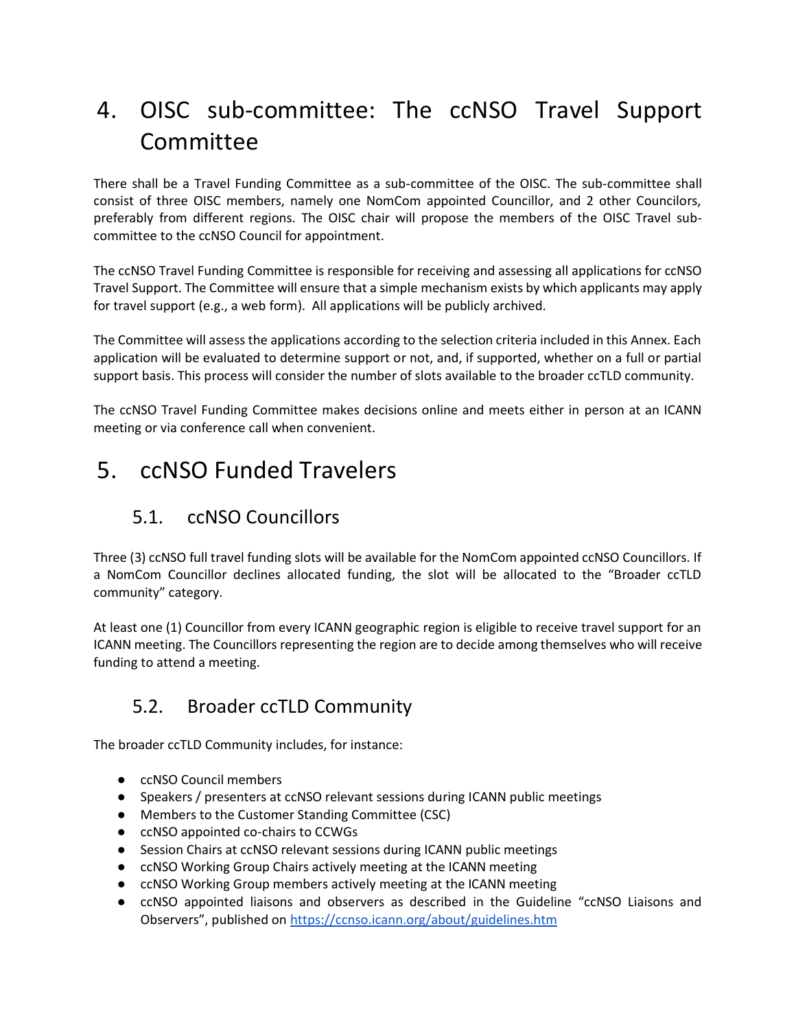## <span id="page-13-0"></span>4. OISC sub-committee: The ccNSO Travel Support Committee

There shall be a Travel Funding Committee as a sub-committee of the OISC. The sub-committee shall consist of three OISC members, namely one NomCom appointed Councillor, and 2 other Councilors, preferably from different regions. The OISC chair will propose the members of the OISC Travel subcommittee to the ccNSO Council for appointment.

The ccNSO Travel Funding Committee is responsible for receiving and assessing all applications for ccNSO Travel Support. The Committee will ensure that a simple mechanism exists by which applicants may apply for travel support (e.g., a web form). All applications will be publicly archived.

The Committee will assess the applications according to the selection criteria included in this Annex. Each application will be evaluated to determine support or not, and, if supported, whether on a full or partial support basis. This process will consider the number of slots available to the broader ccTLD community.

The ccNSO Travel Funding Committee makes decisions online and meets either in person at an ICANN meeting or via conference call when convenient.

## <span id="page-13-1"></span>5. ccNSO Funded Travelers

### <span id="page-13-2"></span>5.1. ccNSO Councillors

Three (3) ccNSO full travel funding slots will be available for the NomCom appointed ccNSO Councillors. If a NomCom Councillor declines allocated funding, the slot will be allocated to the "Broader ccTLD community" category.

At least one (1) Councillor from every ICANN geographic region is eligible to receive travel support for an ICANN meeting. The Councillors representing the region are to decide among themselves who will receive funding to attend a meeting.

### <span id="page-13-3"></span>5.2. Broader ccTLD Community

The broader ccTLD Community includes, for instance:

- ccNSO Council members
- Speakers / presenters at ccNSO relevant sessions during ICANN public meetings
- Members to the Customer Standing Committee (CSC)
- ccNSO appointed co-chairs to CCWGs
- Session Chairs at ccNSO relevant sessions during ICANN public meetings
- ccNSO Working Group Chairs actively meeting at the ICANN meeting
- ccNSO Working Group members actively meeting at the ICANN meeting
- ccNSO appointed liaisons and observers as described in the Guideline "ccNSO Liaisons and Observers", published on <https://ccnso.icann.org/about/guidelines.htm>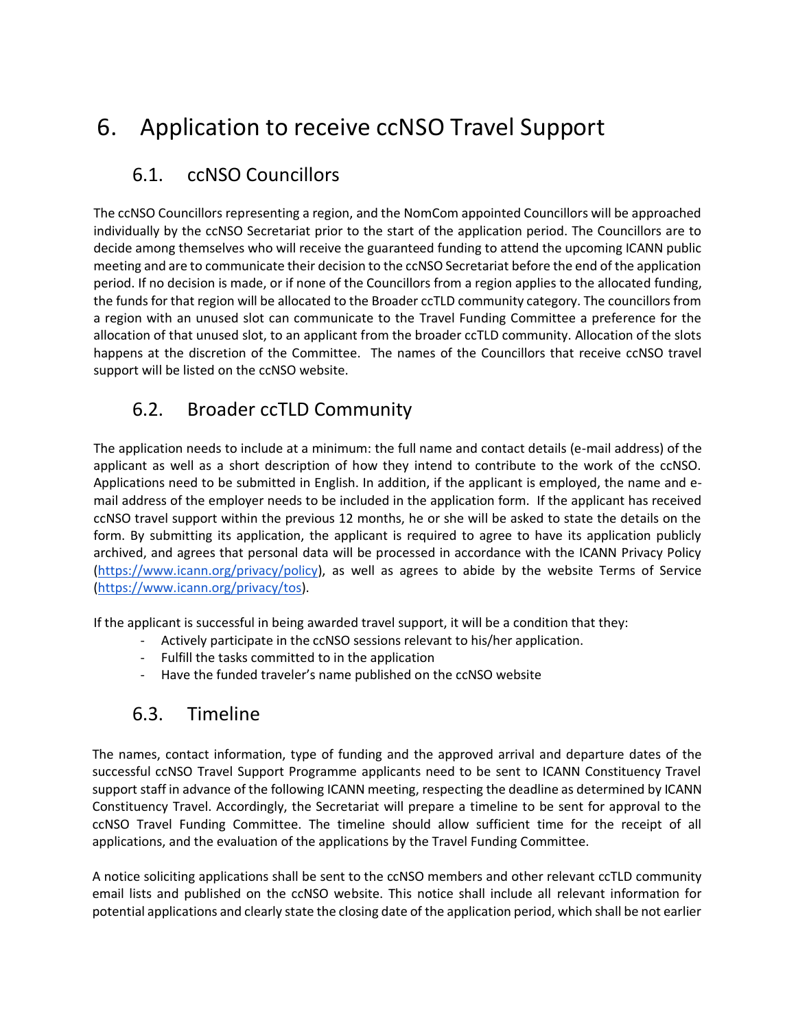## <span id="page-14-0"></span>6. Application to receive ccNSO Travel Support

### <span id="page-14-1"></span>6.1. ccNSO Councillors

The ccNSO Councillors representing a region, and the NomCom appointed Councillors will be approached individually by the ccNSO Secretariat prior to the start of the application period. The Councillors are to decide among themselves who will receive the guaranteed funding to attend the upcoming ICANN public meeting and are to communicate their decision to the ccNSO Secretariat before the end of the application period. If no decision is made, or if none of the Councillors from a region applies to the allocated funding, the funds for that region will be allocated to the Broader ccTLD community category. The councillors from a region with an unused slot can communicate to the Travel Funding Committee a preference for the allocation of that unused slot, to an applicant from the broader ccTLD community. Allocation of the slots happens at the discretion of the Committee. The names of the Councillors that receive ccNSO travel support will be listed on the ccNSO website.

### <span id="page-14-2"></span>6.2. Broader ccTLD Community

The application needs to include at a minimum: the full name and contact details (e-mail address) of the applicant as well as a short description of how they intend to contribute to the work of the ccNSO. Applications need to be submitted in English. In addition, if the applicant is employed, the name and email address of the employer needs to be included in the application form. If the applicant has received ccNSO travel support within the previous 12 months, he or she will be asked to state the details on the form. By submitting its application, the applicant is required to agree to have its application publicly archived, and agrees that personal data will be processed in accordance with the ICANN Privacy Policy [\(https://www.icann.org/privacy/policy\)](https://www.icann.org/privacy/policy), as well as agrees to abide by the website Terms of Service [\(https://www.icann.org/privacy/tos\)](https://www.icann.org/privacy/tos).

If the applicant is successful in being awarded travel support, it will be a condition that they:

- Actively participate in the ccNSO sessions relevant to his/her application.
- Fulfill the tasks committed to in the application
- Have the funded traveler's name published on the ccNSO website

### <span id="page-14-3"></span>6.3. Timeline

The names, contact information, type of funding and the approved arrival and departure dates of the successful ccNSO Travel Support Programme applicants need to be sent to ICANN Constituency Travel support staff in advance of the following ICANN meeting, respecting the deadline as determined by ICANN Constituency Travel. Accordingly, the Secretariat will prepare a timeline to be sent for approval to the ccNSO Travel Funding Committee. The timeline should allow sufficient time for the receipt of all applications, and the evaluation of the applications by the Travel Funding Committee.

A notice soliciting applications shall be sent to the ccNSO members and other relevant ccTLD community email lists and published on the ccNSO website. This notice shall include all relevant information for potential applications and clearly state the closing date of the application period, which shall be not earlier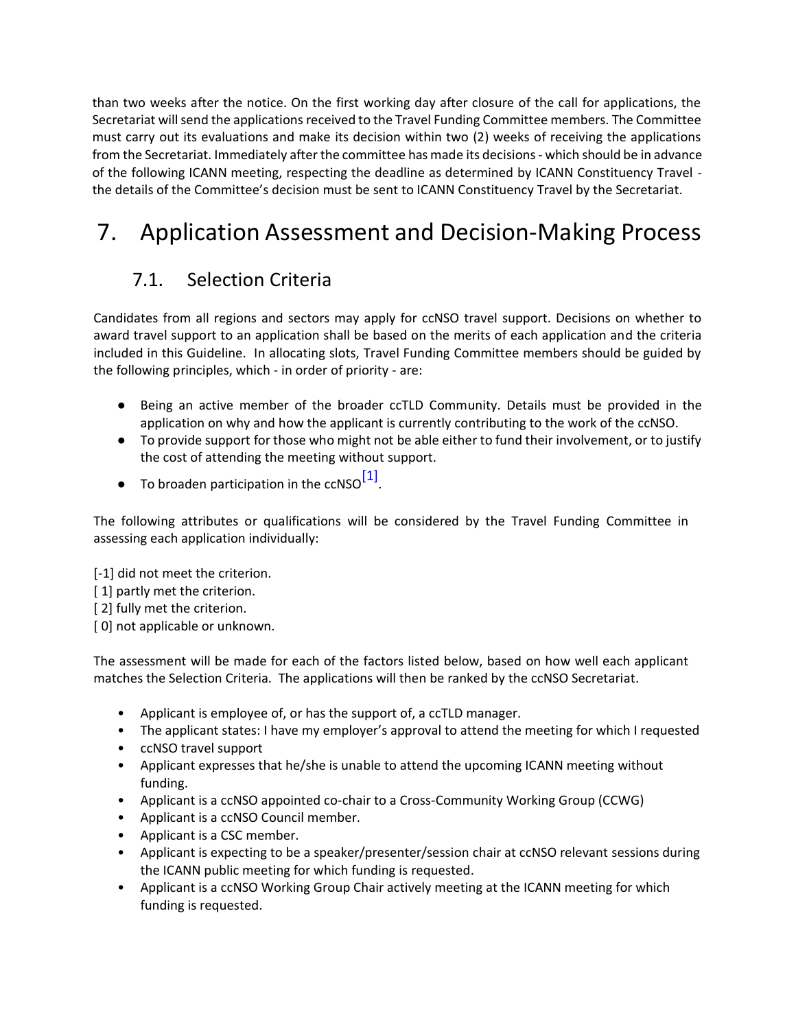than two weeks after the notice. On the first working day after closure of the call for applications, the Secretariat will send the applications received to the Travel Funding Committee members. The Committee must carry out its evaluations and make its decision within two (2) weeks of receiving the applications from the Secretariat. Immediately after the committee has made its decisions - which should be in advance of the following ICANN meeting, respecting the deadline as determined by ICANN Constituency Travel the details of the Committee's decision must be sent to ICANN Constituency Travel by the Secretariat.

## <span id="page-15-0"></span>7. Application Assessment and Decision-Making Process

## <span id="page-15-1"></span>7.1. Selection Criteria

Candidates from all regions and sectors may apply for ccNSO travel support. Decisions on whether to award travel support to an application shall be based on the merits of each application and the criteria included in this Guideline. In allocating slots, Travel Funding Committee members should be guided by the following principles, which - in order of priority - are:

- Being an active member of the broader ccTLD Community. Details must be provided in the application on why and how the applicant is currently contributing to the work of the ccNSO.
- To provide support for those who might not be able either to fund their involvement, or to justify the cost of attending the meeting without support.
- $\bullet$  To broaden participation in the ccNSO $^{[1]}$ .

The following attributes or qualifications will be considered by the Travel Funding Committee in assessing each application individually:

[-1] did not meet the criterion.

- [ 1] partly met the criterion.
- [2] fully met the criterion.
- [ 0] not applicable or unknown.

The assessment will be made for each of the factors listed below, based on how well each applicant matches the Selection Criteria. The applications will then be ranked by the ccNSO Secretariat.

- Applicant is employee of, or has the support of, a ccTLD manager.
- The applicant states: I have my employer's approval to attend the meeting for which I requested
- ccNSO travel support
- Applicant expresses that he/she is unable to attend the upcoming ICANN meeting without funding.
- Applicant is a ccNSO appointed co-chair to a Cross-Community Working Group (CCWG)
- Applicant is a ccNSO Council member.
- Applicant is a CSC member.
- Applicant is expecting to be a speaker/presenter/session chair at ccNSO relevant sessions during the ICANN public meeting for which funding is requested.
- Applicant is a ccNSO Working Group Chair actively meeting at the ICANN meeting for which funding is requested.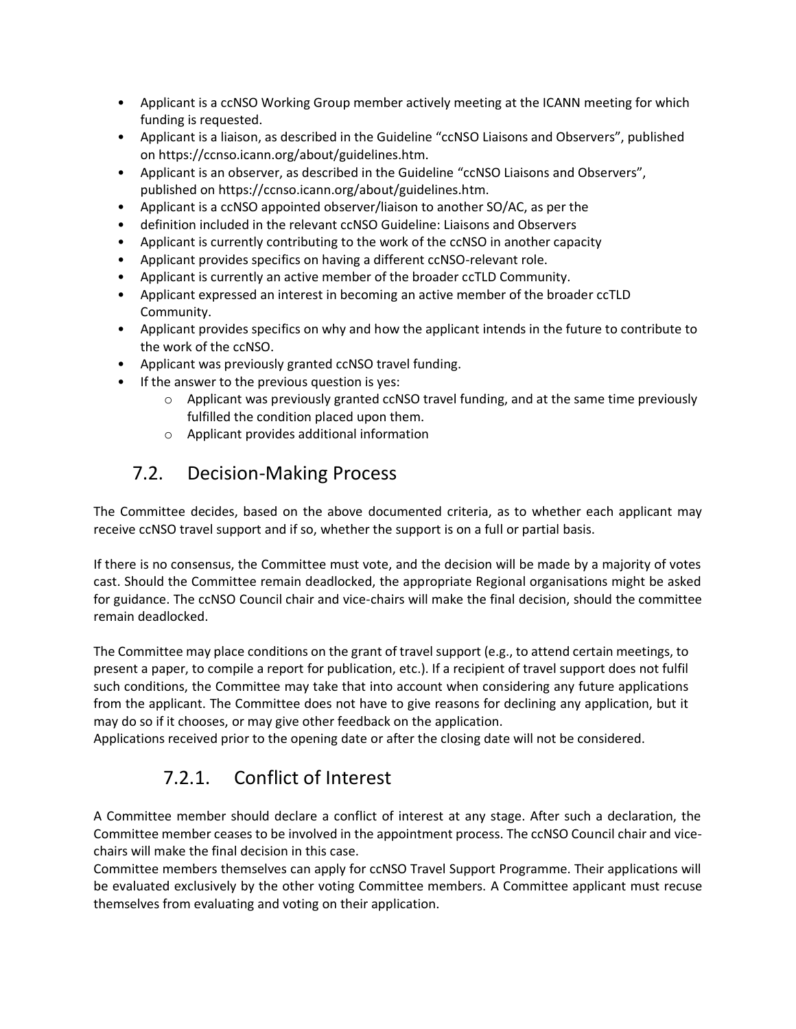- Applicant is a ccNSO Working Group member actively meeting at the ICANN meeting for which funding is requested.
- Applicant is a liaison, as described in the Guideline "ccNSO Liaisons and Observers", published on https://ccnso.icann.org/about/guidelines.htm.
- Applicant is an observer, as described in the Guideline "ccNSO Liaisons and Observers", published on https://ccnso.icann.org/about/guidelines.htm.
- Applicant is a ccNSO appointed observer/liaison to another SO/AC, as per the
- definition included in the relevant ccNSO Guideline: Liaisons and Observers
- Applicant is currently contributing to the work of the ccNSO in another capacity
- Applicant provides specifics on having a different ccNSO-relevant role.
- Applicant is currently an active member of the broader ccTLD Community.
- Applicant expressed an interest in becoming an active member of the broader ccTLD Community.
- Applicant provides specifics on why and how the applicant intends in the future to contribute to the work of the ccNSO.
- Applicant was previously granted ccNSO travel funding.
- If the answer to the previous question is yes:
	- $\circ$  Applicant was previously granted ccNSO travel funding, and at the same time previously fulfilled the condition placed upon them.
	- o Applicant provides additional information

### <span id="page-16-0"></span>7.2. Decision-Making Process

The Committee decides, based on the above documented criteria, as to whether each applicant may receive ccNSO travel support and if so, whether the support is on a full or partial basis.

If there is no consensus, the Committee must vote, and the decision will be made by a majority of votes cast. Should the Committee remain deadlocked, the appropriate Regional organisations might be asked for guidance. The ccNSO Council chair and vice-chairs will make the final decision, should the committee remain deadlocked.

The Committee may place conditions on the grant of travel support (e.g., to attend certain meetings, to present a paper, to compile a report for publication, etc.). If a recipient of travel support does not fulfil such conditions, the Committee may take that into account when considering any future applications from the applicant. The Committee does not have to give reasons for declining any application, but it may do so if it chooses, or may give other feedback on the application.

<span id="page-16-1"></span>Applications received prior to the opening date or after the closing date will not be considered.

### 7.2.1. Conflict of Interest

A Committee member should declare a conflict of interest at any stage. After such a declaration, the Committee member ceases to be involved in the appointment process. The ccNSO Council chair and vicechairs will make the final decision in this case.

Committee members themselves can apply for ccNSO Travel Support Programme. Their applications will be evaluated exclusively by the other voting Committee members. A Committee applicant must recuse themselves from evaluating and voting on their application.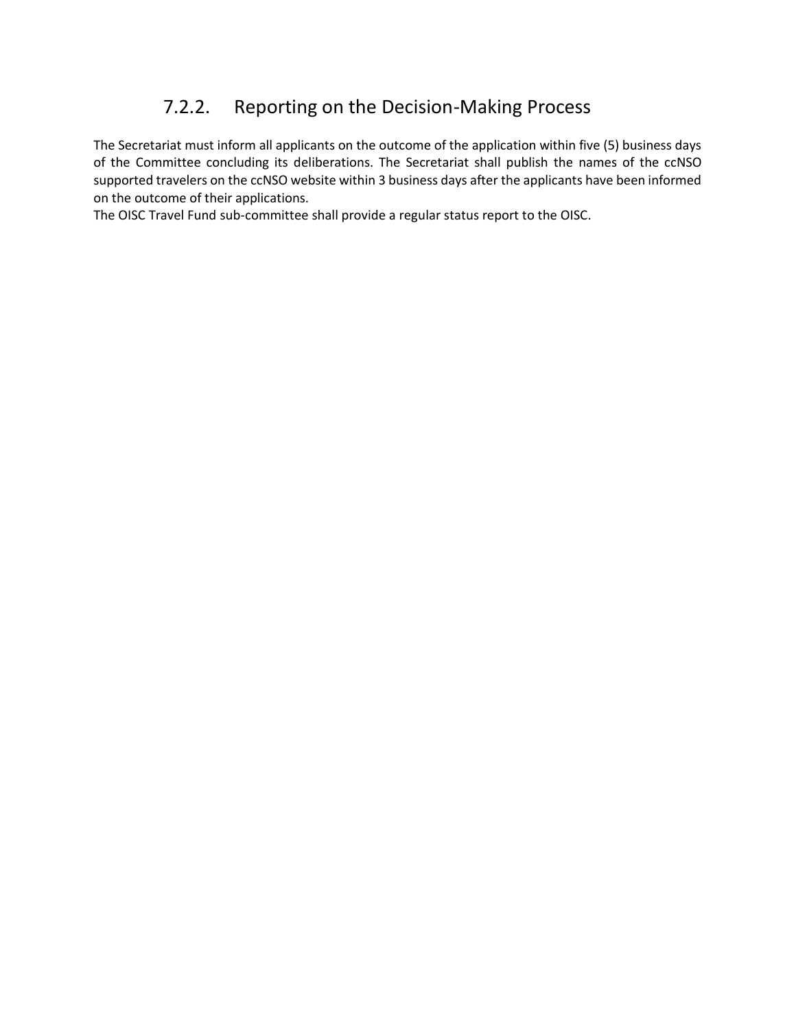### 7.2.2. Reporting on the Decision-Making Process

<span id="page-17-0"></span>The Secretariat must inform all applicants on the outcome of the application within five (5) business days of the Committee concluding its deliberations. The Secretariat shall publish the names of the ccNSO supported travelers on the ccNSO website within 3 business days after the applicants have been informed on the outcome of their applications.

The OISC Travel Fund sub-committee shall provide a regular status report to the OISC.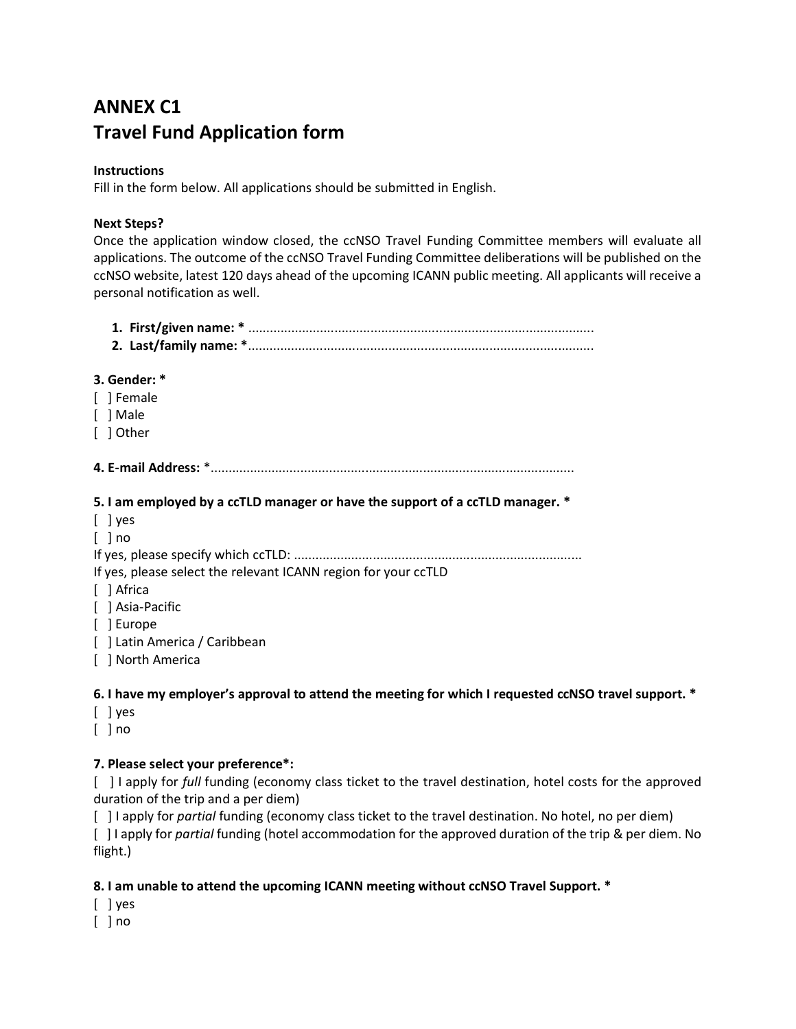## **ANNEX C1 Travel Fund Application form**

#### **Instructions**

Fill in the form below. All applications should be submitted in English.

#### **Next Steps?**

Once the application window closed, the ccNSO Travel Funding Committee members will evaluate all applications. The outcome of the ccNSO Travel Funding Committee deliberations will be published on the ccNSO website, latest 120 days ahead of the upcoming ICANN public meeting. All applicants will receive a personal notification as well.

| 3. Gender: *                                                                                         |
|------------------------------------------------------------------------------------------------------|
| [ ] Female                                                                                           |
| [ ] Male                                                                                             |
| [ ] Other                                                                                            |
|                                                                                                      |
| 5. I am employed by a ccTLD manager or have the support of a ccTLD manager. *                        |
| $[$ ] yes                                                                                            |
| $\lceil$ $\rceil$ no                                                                                 |
|                                                                                                      |
| If yes, please select the relevant ICANN region for your ccTLD                                       |
| [ ] Africa                                                                                           |
| [ ] Asia-Pacific                                                                                     |
| [ ] Europe                                                                                           |
| [ ] Latin America / Caribbean                                                                        |
| [ ] North America                                                                                    |
| 6. I have my employer's approval to attend the meeting for which I requested ccNSO travel support. * |

- [ ] yes
- [ ] no

### **7. Please select your preference\*:**

[ ] I apply for *full* funding (economy class ticket to the travel destination, hotel costs for the approved duration of the trip and a per diem)

[ ] I apply for *partial* funding (economy class ticket to the travel destination. No hotel, no per diem) [ ] I apply for *partial* funding (hotel accommodation for the approved duration of the trip & per diem. No flight.)

### **8. I am unable to attend the upcoming ICANN meeting without ccNSO Travel Support. \***

- [ ] yes
- [ ] no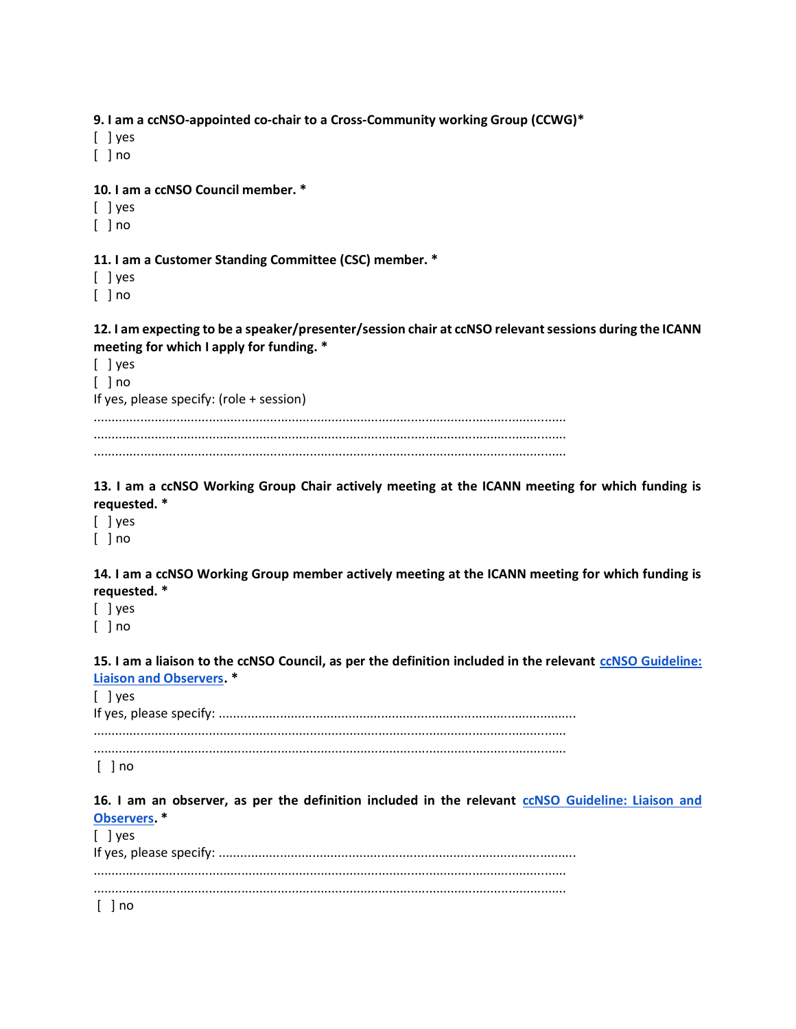**9. I am a ccNSO-appointed co-chair to a Cross-Community working Group (CCWG)\***

[ ] yes

[ ] no

**10. I am a ccNSO Council member. \***

[ ] yes

 $[ ]$  no

#### **11. I am a Customer Standing Committee (CSC) member. \***

[ ] yes

 $\lceil$   $\rceil$  no

#### **12. I am expecting to be a speaker/presenter/session chair at ccNSO relevant sessions during the ICANN meeting for which I apply for funding. \***

| If yes, please specify: $(\text{role} + \text{session})$ |  |
|----------------------------------------------------------|--|
|                                                          |  |
|                                                          |  |

#### **13. I am a ccNSO Working Group Chair actively meeting at the ICANN meeting for which funding is requested. \***

[ ] yes

 $\lceil$   $\rceil$  no

#### **14. I am a ccNSO Working Group member actively meeting at the ICANN meeting for which funding is requested. \***

[ ] yes

[ ] no

#### **15. I am a liaison to the ccNSO Council, as per the definition included in the relevant [ccNSO Guideline:](https://ccnso.icann.org/en/about/guidelines.htm)  [Liaison and Observers.](https://ccnso.icann.org/en/about/guidelines.htm) \***

[ ] yes If yes, please specify: ................................................................................................... ...................................................................................................................................

...................................................................................................................................

[ ] no

**16. I am an observer, as per the definition included in the relevan[t](https://ccnso.icann.org/en/about/guidelines.htm) [ccNSO Guideline: Liaison and](https://ccnso.icann.org/en/about/guidelines.htm)  [Observers.](https://ccnso.icann.org/en/about/guidelines.htm) \***

| $\lceil$ $\lceil$ yes |
|-----------------------|
|                       |
| $[$ $]$ no            |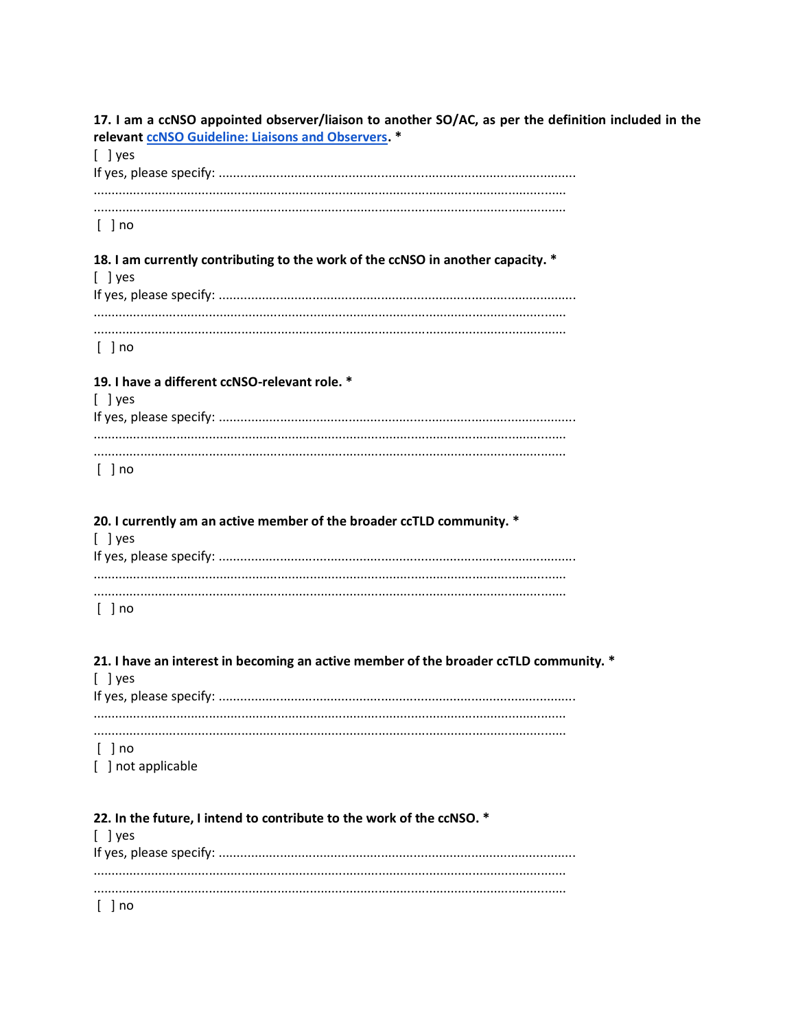17. I am a ccNSO appointed observer/liaison to another SO/AC, as per the definition included in the relevant ccNSO Guideline: Liaisons and Observers. \*

| $\lceil$ lyes |  |
|---------------|--|
|               |  |
|               |  |
|               |  |
|               |  |
| $[$ $]$ no    |  |

18. I am currently contributing to the work of the ccNSO in another capacity. \*  $[$  ] yes  $[$  ] no

#### 19. I have a different ccNSO-relevant role. \*

| l I ves    |  |
|------------|--|
|            |  |
|            |  |
|            |  |
|            |  |
| $[$ $]$ no |  |

#### 20. I currently am an active member of the broader ccTLD community. \*  $[$  ] yes  $\mathbf{r}$  $\sim$

 $[$  ] no

#### 21. I have an interest in becoming an active member of the broader ccTLD community. \*

| $\lceil \ \rceil$ yes |  |
|-----------------------|--|
|                       |  |
|                       |  |
|                       |  |
|                       |  |
| [ ] no                |  |

[ ] not applicable

#### 22. In the future, I intend to contribute to the work of the ccNSO. \*

| $\lceil \ \rceil$ yes |  |
|-----------------------|--|
|                       |  |
|                       |  |
|                       |  |
|                       |  |
| [ ] no                |  |